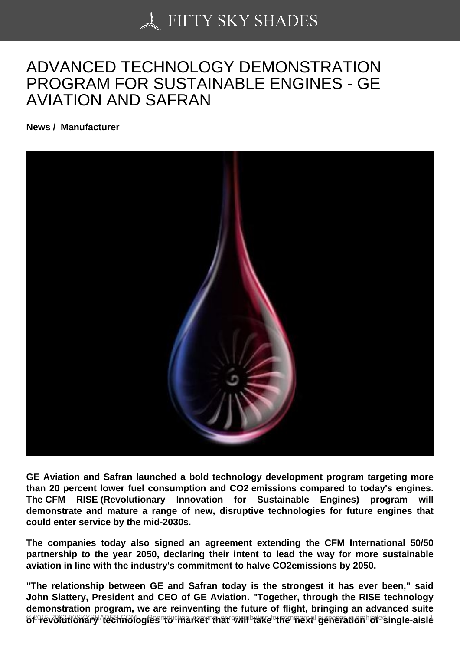## [ADVANCED TECHNO](https://50skyshades.com)LOGY DEMONSTRATION PROGRAM FOR SUSTAINABLE ENGINES - GE AVIATION AND SAFRAN

News / Manufacturer

GE Aviation and Safran launched a bold technology development program targeting more than 20 percent lower fuel consumption and CO2 emissions compared to today's engines. The CFM RISE (Revolutionary Innovation for Sustainable Engines) program will demonstrate and mature a range of new, disruptive technologies for future engines that could enter service by the mid-2030s.

The companies today also signed an agreement extending the CFM International 50/50 partnership to the year 2050, declaring their intent to lead the way for more sustainable aviation in line with the industry's commitment to halve CO2emissions by 2050.

"The relationship between GE and Safran today is the strongest it has ever been," said John Slattery, President and CEO of GE Aviation. "Together, through the RISE technology demonstration program, we are reinventing the future of flight, bringing an advanced suite of revolutionary technologies to market that will take the morning reproduction of single-aisle <sup>1</sup>